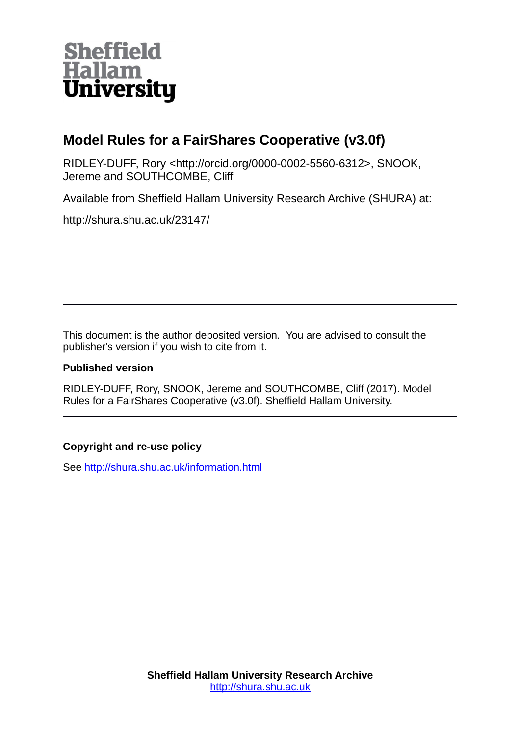

#### **Model Rules for a FairShares Cooperative (v3.0f)**

RIDLEY-DUFF, Rory <http://orcid.org/0000-0002-5560-6312>, SNOOK, Jereme and SOUTHCOMBE, Cliff

Available from Sheffield Hallam University Research Archive (SHURA) at:

http://shura.shu.ac.uk/23147/

This document is the author deposited version. You are advised to consult the publisher's version if you wish to cite from it.

#### **Published version**

RIDLEY-DUFF, Rory, SNOOK, Jereme and SOUTHCOMBE, Cliff (2017). Model Rules for a FairShares Cooperative (v3.0f). Sheffield Hallam University.

#### **Copyright and re-use policy**

See<http://shura.shu.ac.uk/information.html>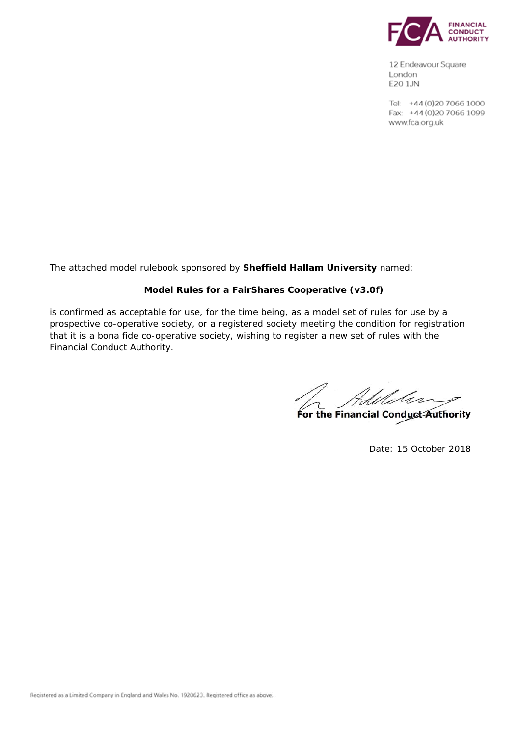

12 Endeavour Square London E20 1JN

Tel: +44 (0) 20 7066 1000 Fax: +44 (0) 20 7066 1099 www.fca.org.uk

The attached model rulebook sponsored by **Sheffield Hallam University** named:

#### **Model Rules for a FairShares Cooperative (v3.0f)**

is confirmed as acceptable for use, for the time being, as a model set of rules for use by a prospective co-operative society, or a registered society meeting the condition for registration that it is a bona fide co-operative society, wishing to register a new set of rules with the Financial Conduct Authority.

**For the Financial Conduct Authority**

Date: 15 October 2018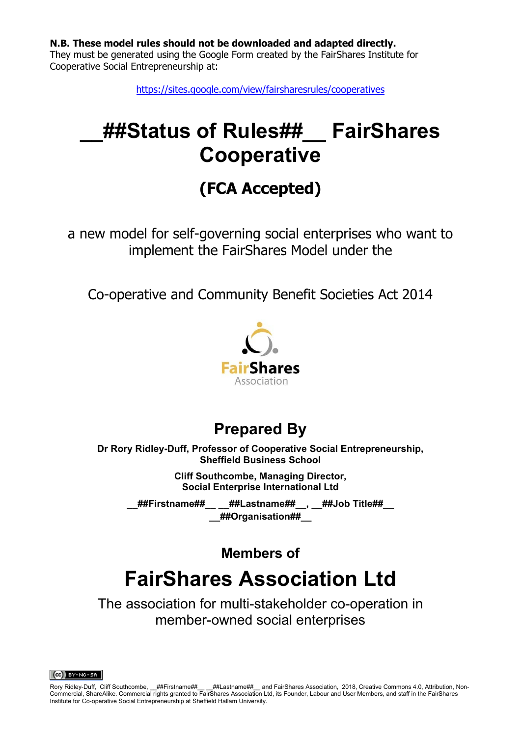**N.B. These model rules should not be downloaded and adapted directly.** 

They must be generated using the Google Form created by the FairShares Institute for Cooperative Social Entrepreneurship at:

https://sites.google.com/view/fairsharesrules/cooperatives

# **\_\_##Status of Rules##\_\_ FairShares Cooperative**

# **(FCA Accepted)**

a new model for self-governing social enterprises who want to implement the FairShares Model under the

Co-operative and Community Benefit Societies Act 2014



### **Prepared By**

**Dr Rory Ridley-Duff, Professor of Cooperative Social Entrepreneurship, Sheffield Business School**

> **Cliff Southcombe, Managing Director, Social Enterprise International Ltd**

**\_\_##Firstname##\_\_ \_\_##Lastname##\_\_, \_\_##Job Title##\_\_ \_\_##Organisation##\_\_** 

**Members of** 

# **FairShares Association Ltd**

The association for multi-stakeholder co-operation in member-owned social enterprises

 $(C<sub>c</sub>)$  BY-NC-SA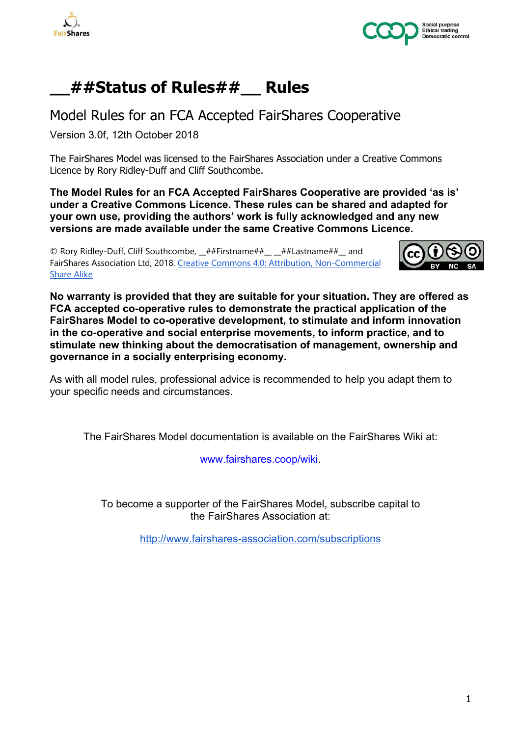



### **\_\_##Status of Rules##\_\_ Rules**

Model Rules for an FCA Accepted FairShares Cooperative

Version 3.0f, 12th October 2018

The FairShares Model was licensed to the FairShares Association under a Creative Commons Licence by Rory Ridley-Duff and Cliff Southcombe.

**The Model Rules for an FCA Accepted FairShares Cooperative are provided 'as is' under a Creative Commons Licence. These rules can be shared and adapted for your own use, providing the authors' work is fully acknowledged and any new versions are made available under the same Creative Commons Licence.**

© Rory Ridley-Duff, Cliff Southcombe, \_\_##Firstname##\_\_ \_\_##Lastname##\_\_ and FairShares Association Ltd, 2018. Creative Commons 4.0: Attribution, Non-Commercial Share Alike



**No warranty is provided that they are suitable for your situation. They are offered as FCA accepted co-operative rules to demonstrate the practical application of the FairShares Model to co-operative development, to stimulate and inform innovation in the co-operative and social enterprise movements, to inform practice, and to stimulate new thinking about the democratisation of management, ownership and governance in a socially enterprising economy.**

As with all model rules, professional advice is recommended to help you adapt them to your specific needs and circumstances.

The FairShares Model documentation is available on the FairShares Wiki at:

www.fairshares.coop/wiki.

To become a supporter of the FairShares Model, subscribe capital to the FairShares Association at:

http://www.fairshares-association.com/subscriptions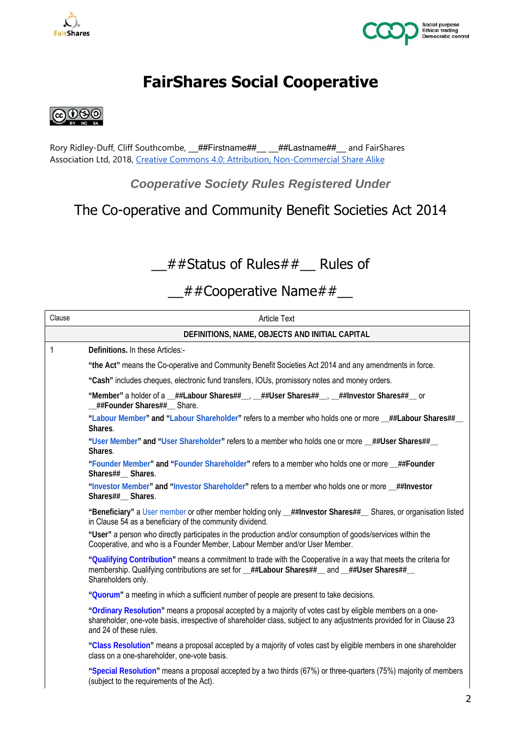



## **FairShares Social Cooperative**



Rory Ridley-Duff, Cliff Southcombe, \_\_##Firstname##\_\_\_\_\_##Lastname##\_\_ and FairShares Association Ltd, 2018, Creative Commons 4.0: Attribution, Non-Commercial Share Alike

*Cooperative Society Rules Registered Under* 

### The Co-operative and Community Benefit Societies Act 2014

### $#$ #Status of Rules# $#$  Rules of

### \_\_##Cooperative Name##\_\_

| Clause                                                                                                              | <b>Article Text</b>                                                                                                                                                                                                                                         |  |  |  |
|---------------------------------------------------------------------------------------------------------------------|-------------------------------------------------------------------------------------------------------------------------------------------------------------------------------------------------------------------------------------------------------------|--|--|--|
|                                                                                                                     | DEFINITIONS, NAME, OBJECTS AND INITIAL CAPITAL                                                                                                                                                                                                              |  |  |  |
| $\mathbf{1}$                                                                                                        | Definitions. In these Articles:-                                                                                                                                                                                                                            |  |  |  |
|                                                                                                                     | "the Act" means the Co-operative and Community Benefit Societies Act 2014 and any amendments in force.                                                                                                                                                      |  |  |  |
|                                                                                                                     | "Cash" includes cheques, electronic fund transfers, IOUs, promissory notes and money orders.                                                                                                                                                                |  |  |  |
|                                                                                                                     | "Member" a holder of a _##Labour Shares##_, _##User Shares##_, _##Investor Shares##_ or<br>_##Founder Shares##__ Share.                                                                                                                                     |  |  |  |
|                                                                                                                     | "Labour Member" and "Labour Shareholder" refers to a member who holds one or more _##Labour Shares##_<br>Shares.                                                                                                                                            |  |  |  |
|                                                                                                                     | "User Member" and "User Shareholder" refers to a member who holds one or more _##User Shares##_<br>Shares.                                                                                                                                                  |  |  |  |
| "Founder Member" and "Founder Shareholder" refers to a member who holds one or more _##Founder<br>Shares##_ Shares. |                                                                                                                                                                                                                                                             |  |  |  |
|                                                                                                                     | "Investor Member" and "Investor Shareholder" refers to a member who holds one or more _##Investor<br>Shares##_ Shares.                                                                                                                                      |  |  |  |
|                                                                                                                     | "Beneficiary" a User member or other member holding only _##Investor Shares##__ Shares, or organisation listed<br>in Clause 54 as a beneficiary of the community dividend.                                                                                  |  |  |  |
|                                                                                                                     | "User" a person who directly participates in the production and/or consumption of goods/services within the<br>Cooperative, and who is a Founder Member, Labour Member and/or User Member.                                                                  |  |  |  |
|                                                                                                                     | "Qualifying Contribution" means a commitment to trade with the Cooperative in a way that meets the criteria for<br>membership. Qualifying contributions are set for _##Labour Shares##_ and _##User Shares##_<br>Shareholders only.                         |  |  |  |
|                                                                                                                     | "Quorum" a meeting in which a sufficient number of people are present to take decisions.                                                                                                                                                                    |  |  |  |
|                                                                                                                     | "Ordinary Resolution" means a proposal accepted by a majority of votes cast by eligible members on a one-<br>shareholder, one-vote basis, irrespective of shareholder class, subject to any adjustments provided for in Clause 23<br>and 24 of these rules. |  |  |  |
|                                                                                                                     | "Class Resolution" means a proposal accepted by a majority of votes cast by eligible members in one shareholder<br>class on a one-shareholder, one-vote basis.                                                                                              |  |  |  |
|                                                                                                                     | "Special Resolution" means a proposal accepted by a two thirds (67%) or three-quarters (75%) majority of members<br>(subject to the requirements of the Act).                                                                                               |  |  |  |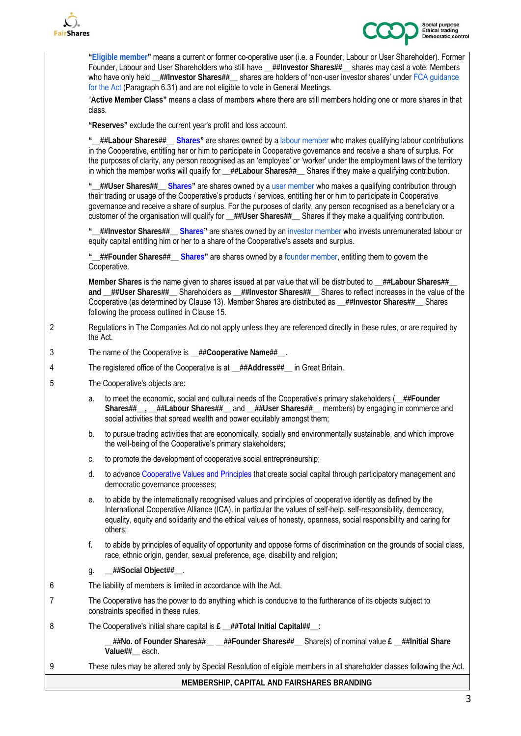



**"Eligible member"** means a current or former co-operative user (i.e. a Founder, Labour or User Shareholder). Former Founder, Labour and User Shareholders who still have **\_\_##Investor Shares##\_\_** shares may cast a vote. Members who have only held **\_\_##Investor Shares##\_\_** shares are holders of 'non-user investor shares' under FCA guidance for the Act (Paragraph 6.31) and are not eligible to vote in General Meetings.

"**Active Member Class"** means a class of members where there are still members holding one or more shares in that class.

**"Reserves"** exclude the current year's profit and loss account.

**"\_\_##Labour Shares##\_\_ Shares"** are shares owned by a labour member who makes qualifying labour contributions in the Cooperative, entitling her or him to participate in Cooperative governance and receive a share of surplus. For the purposes of clarity, any person recognised as an 'employee' or 'worker' under the employment laws of the territory in which the member works will qualify for \_\_##Labour Shares##\_\_ Shares if they make a qualifying contribution.

**"\_\_##User Shares##\_\_ Shares"** are shares owned by a user member who makes a qualifying contribution through their trading or usage of the Cooperative's products / services, entitling her or him to participate in Cooperative governance and receive a share of surplus. For the purposes of clarity, any person recognised as a beneficiary or a customer of the organisation will qualify for ##User Shares## Shares if they make a qualifying contribution.

**"\_\_##Investor Shares##\_\_ Shares"** are shares owned by an investor member who invests unremunerated labour or equity capital entitling him or her to a share of the Cooperative's assets and surplus.

**"\_\_##Founder Shares##\_\_ Shares"** are shares owned by a founder member, entitling them to govern the Cooperative.

**Member Shares** is the name given to shares issued at par value that will be distributed to **\_\_##Labour Shares##\_\_ and \_\_##User Shares##\_\_** Shareholders as **\_\_##Investor Shares##\_\_** Shares to reflect increases in the value of the Cooperative (as determined by Clause 13). Member Shares are distributed as **\_\_##Investor Shares##\_\_** Shares following the process outlined in Clause 15.

- 2 Regulations in The Companies Act do not apply unless they are referenced directly in these rules, or are required by the Act.
- 3 The name of the Cooperative is **\_\_##Cooperative Name##\_\_**.
- 4 The registered office of the Cooperative is at **\_\_##Address##\_\_** in Great Britain.
- 5 The Cooperative's objects are:
	- a. to meet the economic, social and cultural needs of the Cooperative's primary stakeholders (**\_\_##Founder Shares##\_\_, \_\_##Labour Shares##\_\_** and **\_\_##User Shares##\_\_** members) by engaging in commerce and social activities that spread wealth and power equitably amongst them;
	- b. to pursue trading activities that are economically, socially and environmentally sustainable, and which improve the well-being of the Cooperative's primary stakeholders;
	- c. to promote the development of cooperative social entrepreneurship;
	- d. to advance Cooperative Values and Principles that create social capital through participatory management and democratic governance processes;
	- e. to abide by the internationally recognised values and principles of cooperative identity as defined by the International Cooperative Alliance (ICA), in particular the values of self-help, self-responsibility, democracy, equality, equity and solidarity and the ethical values of honesty, openness, social responsibility and caring for others;
	- f. to abide by principles of equality of opportunity and oppose forms of discrimination on the grounds of social class, race, ethnic origin, gender, sexual preference, age, disability and religion;
	- g. **\_\_##Social Object##\_\_**.
- 6 The liability of members is limited in accordance with the Act.
- 7 The Cooperative has the power to do anything which is conducive to the furtherance of its objects subject to constraints specified in these rules.
- 8 The Cooperative's initial share capital is **£ \_\_##Total Initial Capital##\_\_**:

**\_\_##No. of Founder Shares##\_\_ \_\_##Founder Shares##\_\_** Share(s) of nominal value **£ \_\_##Initial Share Value##\_\_** each.

9 These rules may be altered only by Special Resolution of eligible members in all shareholder classes following the Act.

**MEMBERSHIP, CAPITAL AND FAIRSHARES BRANDING**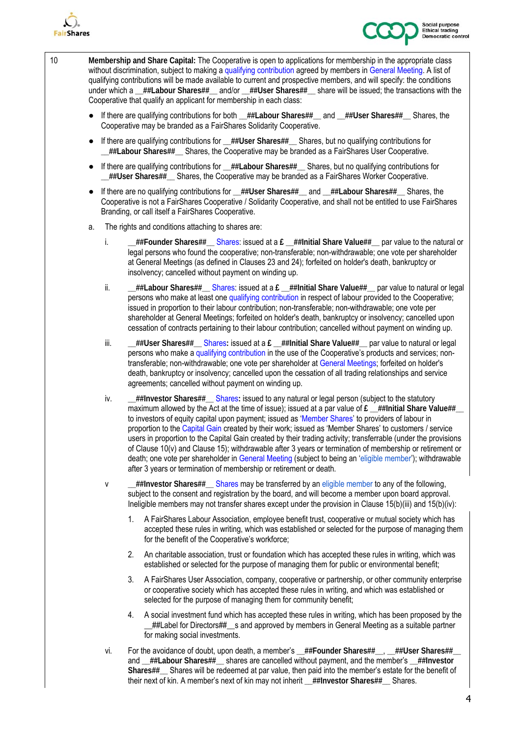



10 **Membership and Share Capital:** The Cooperative is open to applications for membership in the appropriate class without discrimination, subject to making a qualifying contribution agreed by members in General Meeting. A list of qualifying contributions will be made available to current and prospective members, and will specify: the conditions under which a **\_\_##Labour Shares##\_\_** and/or **\_\_##User Shares##\_\_** share will be issued; the transactions with the Cooperative that qualify an applicant for membership in each class:

- If there are qualifying contributions for both ##Labour Shares## and ##User Shares## Shares, the Cooperative may be branded as a FairShares Solidarity Cooperative.
- If there are qualifying contributions for  $#$ #User Shares## Shares, but no qualifying contributions for **\_\_##Labour Shares##\_\_** Shares, the Cooperative may be branded as a FairShares User Cooperative.
- If there are qualifying contributions for \_\_##Labour Shares##\_\_ Shares, but no qualifying contributions for **\_\_##User Shares##\_\_** Shares, the Cooperative may be branded as a FairShares Worker Cooperative.
- If there are no qualifying contributions for **\_\_##User Shares##\_\_** and **\_\_##Labour Shares##\_\_** Shares, the Cooperative is not a FairShares Cooperative / Solidarity Cooperative, and shall not be entitled to use FairShares Branding, or call itself a FairShares Cooperative.
- a. The rights and conditions attaching to shares are:
	- i. **\_\_##Founder Shares##\_\_** Shares: issued at a **£ \_\_##Initial Share Value##\_\_** par value to the natural or legal persons who found the cooperative; non-transferable; non-withdrawable; one vote per shareholder at General Meetings (as defined in Clauses 23 and 24); forfeited on holder's death, bankruptcy or insolvency; cancelled without payment on winding up.
	- ii. **##Labour Shares##** \_\_ Shares: issued at a £ \_\_##Initial Share Value## \_ par value to natural or legal persons who make at least one qualifying contribution in respect of labour provided to the Cooperative; issued in proportion to their labour contribution; non-transferable; non-withdrawable; one vote per shareholder at General Meetings; forfeited on holder's death, bankruptcy or insolvency; cancelled upon cessation of contracts pertaining to their labour contribution; cancelled without payment on winding up.
	- iii. **##User Shares##** \_\_ Shares: issued at a £ \_\_##Initial Share Value## \_ par value to natural or legal persons who make a qualifying contribution in the use of the Cooperative's products and services; nontransferable; non-withdrawable; one vote per shareholder at General Meetings; forfeited on holder's death, bankruptcy or insolvency; cancelled upon the cessation of all trading relationships and service agreements; cancelled without payment on winding up.
	- iv. **\_\_##Investor Shares##\_\_** Shares**:** issued to any natural or legal person (subject to the statutory maximum allowed by the Act at the time of issue); issued at a par value of £ ##Initial Share Value## to investors of equity capital upon payment; issued as 'Member Shares' to providers of labour in proportion to the Capital Gain created by their work; issued as 'Member Shares' to customers / service users in proportion to the Capital Gain created by their trading activity; transferrable (under the provisions of Clause 10(v) and Clause 15); withdrawable after 3 years or termination of membership or retirement or death; one vote per shareholder in General Meeting (subject to being an 'eligible member'); withdrawable after 3 years or termination of membership or retirement or death.
	- v **\_\_##Investor Shares##\_\_** Shares may be transferred by an eligible member to any of the following, subject to the consent and registration by the board, and will become a member upon board approval. Ineligible members may not transfer shares except under the provision in Clause 15(b)(iii) and 15(b)(iv):
		- 1. A FairShares Labour Association, employee benefit trust, cooperative or mutual society which has accepted these rules in writing, which was established or selected for the purpose of managing them for the benefit of the Cooperative's workforce;
		- 2. An charitable association, trust or foundation which has accepted these rules in writing, which was established or selected for the purpose of managing them for public or environmental benefit;
		- 3. A FairShares User Association, company, cooperative or partnership, or other community enterprise or cooperative society which has accepted these rules in writing, and which was established or selected for the purpose of managing them for community benefit;
		- 4. A social investment fund which has accepted these rules in writing, which has been proposed by the \_\_##Label for Directors##\_\_s and approved by members in General Meeting as a suitable partner for making social investments.
	- vi. For the avoidance of doubt, upon death, a member's **\_\_##Founder Shares##\_\_**, **\_\_##User Shares##\_\_**  and **\_\_##Labour Shares##\_\_** shares are cancelled without payment, and the member's **\_\_##Investor Shares##\_\_** Shares will be redeemed at par value, then paid into the member's estate for the benefit of their next of kin. A member's next of kin may not inherit \_\_##Investor Shares##\_\_ Shares.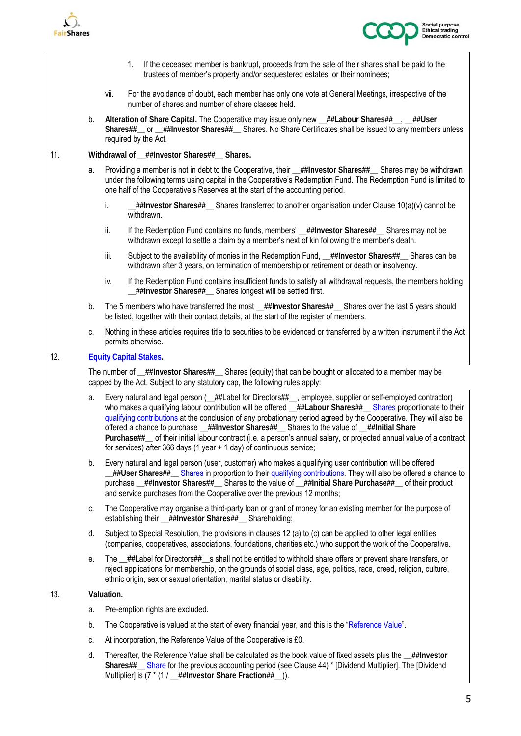



- 1. If the deceased member is bankrupt, proceeds from the sale of their shares shall be paid to the trustees of member's property and/or sequestered estates, or their nominees;
- vii. For the avoidance of doubt, each member has only one vote at General Meetings, irrespective of the number of shares and number of share classes held.
- b. **Alteration of Share Capital.** The Cooperative may issue only new **\_\_##Labour Shares##\_\_**, **\_\_##User Shares##\_\_** or **\_\_##Investor Shares##\_\_** Shares. No Share Certificates shall be issued to any members unless required by the Act.

#### 11. **Withdrawal of \_\_##Investor Shares##\_\_ Shares.**

- a. Providing a member is not in debt to the Cooperative, their \_\_##Investor Shares##\_\_ Shares may be withdrawn under the following terms using capital in the Cooperative's Redemption Fund. The Redemption Fund is limited to one half of the Cooperative's Reserves at the start of the accounting period.
	- i. **\_\_##Investor Shares##\_\_** Shares transferred to another organisation under Clause 10(a)(v) cannot be withdrawn.
	- ii. If the Redemption Fund contains no funds, members' \_\_##Investor Shares##\_\_ Shares may not be withdrawn except to settle a claim by a member's next of kin following the member's death.
	- iii. Subject to the availability of monies in the Redemption Fund, ##Investor Shares## Shares can be withdrawn after 3 years, on termination of membership or retirement or death or insolvency.
	- iv. If the Redemption Fund contains insufficient funds to satisfy all withdrawal requests, the members holding **\_\_##Investor Shares##\_\_** Shares longest will be settled first.
- b. The 5 members who have transferred the most ##Investor Shares## Shares over the last 5 years should be listed, together with their contact details, at the start of the register of members.
- c. Nothing in these articles requires title to securities to be evidenced or transferred by a written instrument if the Act permits otherwise.

#### 12. **Equity Capital Stakes.**

The number of **\_\_##Investor Shares##\_\_** Shares (equity) that can be bought or allocated to a member may be capped by the Act. Subject to any statutory cap, the following rules apply:

- a. Every natural and legal person (\_##Label for Directors##\_, employee, supplier or self-employed contractor) who makes a qualifying labour contribution will be offered \_\_##Labour Shares##\_\_ Shares proportionate to their qualifying contributions at the conclusion of any probationary period agreed by the Cooperative. They will also be offered a chance to purchase **\_\_##Investor Shares##\_\_** Shares to the value of **\_\_##Initial Share Purchase##\_\_** of their initial labour contract (i.e. a person's annual salary, or projected annual value of a contract for services) after 366 days (1 year + 1 day) of continuous service;
- b. Every natural and legal person (user, customer) who makes a qualifying user contribution will be offered **\_\_##User Shares##\_\_** Shares in proportion to their qualifying contributions. They will also be offered a chance to purchase **\_\_##Investor Shares##\_\_** Shares to the value of **\_\_##Initial Share Purchase##\_\_** of their product and service purchases from the Cooperative over the previous 12 months;
- c. The Cooperative may organise a third-party loan or grant of money for an existing member for the purpose of establishing their **\_\_##Investor Shares##\_\_** Shareholding;
- d. Subject to Special Resolution, the provisions in clauses 12 (a) to (c) can be applied to other legal entities (companies, cooperatives, associations, foundations, charities etc.) who support the work of the Cooperative.
- e. The \_\_##Label for Directors##\_\_s shall not be entitled to withhold share offers or prevent share transfers, or reject applications for membership, on the grounds of social class, age, politics, race, creed, religion, culture, ethnic origin, sex or sexual orientation, marital status or disability.

#### 13. **Valuation.**

- a. Pre-emption rights are excluded.
- b. The Cooperative is valued at the start of every financial year, and this is the "Reference Value".
- c. At incorporation, the Reference Value of the Cooperative is £0.
- d. Thereafter, the Reference Value shall be calculated as the book value of fixed assets plus the **\_\_##Investor Shares##\_\_** Share for the previous accounting period (see Clause 44) \* [Dividend Multiplier]. The [Dividend Multiplier] is (7 \* (1 / **\_\_##Investor Share Fraction##\_\_**)).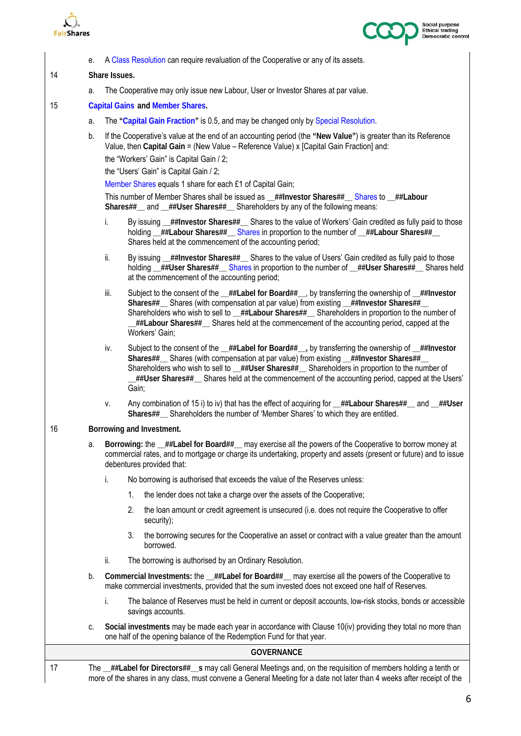



|    | е. |                                         | A Class Resolution can require revaluation of the Cooperative or any of its assets.                                                                                                                                                                                                                                                                                                                                                                                                                                                     |  |  |  |  |
|----|----|-----------------------------------------|-----------------------------------------------------------------------------------------------------------------------------------------------------------------------------------------------------------------------------------------------------------------------------------------------------------------------------------------------------------------------------------------------------------------------------------------------------------------------------------------------------------------------------------------|--|--|--|--|
| 14 |    | Share Issues.                           |                                                                                                                                                                                                                                                                                                                                                                                                                                                                                                                                         |  |  |  |  |
|    | a. |                                         | The Cooperative may only issue new Labour, User or Investor Shares at par value.                                                                                                                                                                                                                                                                                                                                                                                                                                                        |  |  |  |  |
| 15 |    | <b>Capital Gains and Member Shares.</b> |                                                                                                                                                                                                                                                                                                                                                                                                                                                                                                                                         |  |  |  |  |
|    | а. |                                         | The "Capital Gain Fraction" is 0.5, and may be changed only by Special Resolution.                                                                                                                                                                                                                                                                                                                                                                                                                                                      |  |  |  |  |
|    | b. |                                         | If the Cooperative's value at the end of an accounting period (the "New Value") is greater than its Reference<br>Value, then Capital Gain = (New Value – Reference Value) x [Capital Gain Fraction] and:<br>the "Workers' Gain" is Capital Gain / 2;<br>the "Users' Gain" is Capital Gain / 2;<br>Member Shares equals 1 share for each £1 of Capital Gain;<br>This number of Member Shares shall be issued as _##Investor Shares##__ Shares to _##Labour<br>Shares##_and _##User Shares##_ Shareholders by any of the following means: |  |  |  |  |
|    |    | i.                                      | By issuing _##Investor Shares##_ Shares to the value of Workers' Gain credited as fully paid to those<br>holding _##Labour Shares##_ Shares in proportion to the number of _##Labour Shares##_<br>Shares held at the commencement of the accounting period;                                                                                                                                                                                                                                                                             |  |  |  |  |
|    |    | ii.                                     | By issuing _##Investor Shares##_ Shares to the value of Users' Gain credited as fully paid to those<br>holding _##User Shares##_ Shares in proportion to the number of _##User Shares##_ Shares held<br>at the commencement of the accounting period;                                                                                                                                                                                                                                                                                   |  |  |  |  |
|    |    | iii.                                    | Subject to the consent of the _##Label for Board##_, by transferring the ownership of _##Investor<br>Shares##_ Shares (with compensation at par value) from existing _##Investor Shares##_<br>Shareholders who wish to sell to _##Labour Shares##_ Shareholders in proportion to the number of<br>$\pm$ ##Labour Shares## $\_\$ Shares held at the commencement of the accounting period, capped at the<br>Workers' Gain;                                                                                                               |  |  |  |  |
|    |    | iv.                                     | Subject to the consent of the _##Label for Board##_, by transferring the ownership of _##Investor<br>Shares##_ Shares (with compensation at par value) from existing _##Investor Shares##_<br>Shareholders who wish to sell to _##User Shares##_ Shareholders in proportion to the number of<br>"##User Shares## Shares held at the commencement of the accounting period, capped at the Users.<br>Gain;                                                                                                                                |  |  |  |  |
|    |    | ٧.                                      | Any combination of 15 i) to iv) that has the effect of acquiring for _##Labour Shares##_ and _##User<br>Shares##_ Shareholders the number of 'Member Shares' to which they are entitled.                                                                                                                                                                                                                                                                                                                                                |  |  |  |  |
| 16 |    | Borrowing and Investment.               |                                                                                                                                                                                                                                                                                                                                                                                                                                                                                                                                         |  |  |  |  |
|    | а. |                                         | Borrowing: the _##Label for Board##_ may exercise all the powers of the Cooperative to borrow money at<br>commercial rates, and to mortgage or charge its undertaking, property and assets (present or future) and to issue<br>debentures provided that:                                                                                                                                                                                                                                                                                |  |  |  |  |
|    |    | i.                                      | No borrowing is authorised that exceeds the value of the Reserves unless:                                                                                                                                                                                                                                                                                                                                                                                                                                                               |  |  |  |  |
|    |    | 1.                                      | the lender does not take a charge over the assets of the Cooperative;                                                                                                                                                                                                                                                                                                                                                                                                                                                                   |  |  |  |  |
|    |    | 2.                                      | the loan amount or credit agreement is unsecured (i.e. does not require the Cooperative to offer<br>security);                                                                                                                                                                                                                                                                                                                                                                                                                          |  |  |  |  |
|    |    | 3.                                      | the borrowing secures for the Cooperative an asset or contract with a value greater than the amount<br>borrowed.                                                                                                                                                                                                                                                                                                                                                                                                                        |  |  |  |  |
|    |    | ii.                                     | The borrowing is authorised by an Ordinary Resolution.                                                                                                                                                                                                                                                                                                                                                                                                                                                                                  |  |  |  |  |
|    | b. |                                         | Commercial Investments: the _##Label for Board##_ may exercise all the powers of the Cooperative to<br>make commercial investments, provided that the sum invested does not exceed one half of Reserves.                                                                                                                                                                                                                                                                                                                                |  |  |  |  |
|    |    | i.                                      | The balance of Reserves must be held in current or deposit accounts, low-risk stocks, bonds or accessible<br>savings accounts.                                                                                                                                                                                                                                                                                                                                                                                                          |  |  |  |  |
|    | C. |                                         | Social investments may be made each year in accordance with Clause 10(iv) providing they total no more than<br>one half of the opening balance of the Redemption Fund for that year.                                                                                                                                                                                                                                                                                                                                                    |  |  |  |  |
|    |    |                                         | <b>GOVERNANCE</b>                                                                                                                                                                                                                                                                                                                                                                                                                                                                                                                       |  |  |  |  |

17 The **\_\_##Label for Directors##\_\_s** may call General Meetings and, on the requisition of members holding a tenth or more of the shares in any class, must convene a General Meeting for a date not later than 4 weeks after receipt of the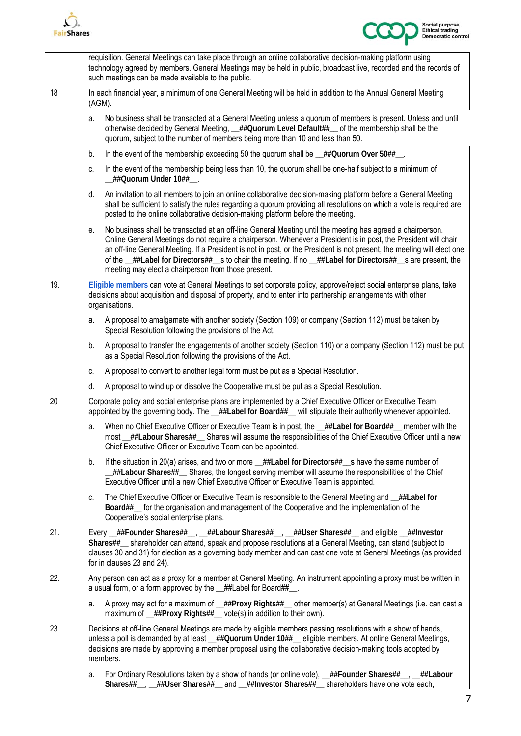



requisition. General Meetings can take place through an online collaborative decision-making platform using technology agreed by members. General Meetings may be held in public, broadcast live, recorded and the records of such meetings can be made available to the public. 18 In each financial year, a minimum of one General Meeting will be held in addition to the Annual General Meeting (AGM). a. No business shall be transacted at a General Meeting unless a quorum of members is present. Unless and until otherwise decided by General Meeting, **\_\_##Quorum Level Default##\_\_** of the membership shall be the quorum, subject to the number of members being more than 10 and less than 50. b. In the event of the membership exceeding 50 the quorum shall be  $\#$ #Quorum Over 50##. c. In the event of the membership being less than 10, the quorum shall be one-half subject to a minimum of **\_\_##Quorum Under 10##\_\_**. d. An invitation to all members to join an online collaborative decision-making platform before a General Meeting shall be sufficient to satisfy the rules regarding a quorum providing all resolutions on which a vote is required are posted to the online collaborative decision-making platform before the meeting. e. No business shall be transacted at an off-line General Meeting until the meeting has agreed a chairperson. Online General Meetings do not require a chairperson. Whenever a President is in post, the President will chair an off-line General Meeting. If a President is not in post, or the President is not present, the meeting will elect one of the **\_\_##Label for Directors##\_\_**s to chair the meeting. If no **\_\_##Label for Directors##\_\_**s are present, the meeting may elect a chairperson from those present. 19. **Eligible members** can vote at General Meetings to set corporate policy, approve/reject social enterprise plans, take decisions about acquisition and disposal of property, and to enter into partnership arrangements with other organisations. a. A proposal to amalgamate with another society (Section 109) or company (Section 112) must be taken by Special Resolution following the provisions of the Act. b. A proposal to transfer the engagements of another society (Section 110) or a company (Section 112) must be put as a Special Resolution following the provisions of the Act. c. A proposal to convert to another legal form must be put as a Special Resolution. d. A proposal to wind up or dissolve the Cooperative must be put as a Special Resolution. 20 Corporate policy and social enterprise plans are implemented by a Chief Executive Officer or Executive Team appointed by the governing body. The **\_\_##Label for Board##\_\_** will stipulate their authority whenever appointed. a. When no Chief Executive Officer or Executive Team is in post, the **\_\_##Label for Board##\_\_** member with the most **\_\_##Labour Shares##\_\_** Shares will assume the responsibilities of the Chief Executive Officer until a new Chief Executive Officer or Executive Team can be appointed. b. If the situation in 20(a) arises, and two or more **\_\_##Label for Directors##\_\_s** have the same number of **\_\_##Labour Shares##\_\_** Shares, the longest serving member will assume the responsibilities of the Chief Executive Officer until a new Chief Executive Officer or Executive Team is appointed. c. The Chief Executive Officer or Executive Team is responsible to the General Meeting and **\_\_##Label for Board##\_\_** for the organisation and management of the Cooperative and the implementation of the Cooperative's social enterprise plans. 21. Every **\_\_##Founder Shares##\_\_**, **\_\_##Labour Shares##\_\_**, **\_\_##User Shares##\_\_** and eligible **\_\_##Investor Shares##\_\_** shareholder can attend, speak and propose resolutions at a General Meeting, can stand (subject to clauses 30 and 31) for election as a governing body member and can cast one vote at General Meetings (as provided for in clauses 23 and 24). 22. Any person can act as a proxy for a member at General Meeting. An instrument appointing a proxy must be written in a usual form, or a form approved by the \_\_##Label for Board##\_\_. a. A proxy may act for a maximum of **\_\_##Proxy Rights##\_\_** other member(s) at General Meetings (i.e. can cast a maximum of **\_\_##Proxy Rights##** vote(s) in addition to their own). 23. Decisions at off-line General Meetings are made by eligible members passing resolutions with a show of hands, unless a poll is demanded by at least **\_\_##Quorum Under 10##\_\_** eligible members. At online General Meetings, decisions are made by approving a member proposal using the collaborative decision-making tools adopted by members. a. For Ordinary Resolutions taken by a show of hands (or online vote), **\_\_##Founder Shares##\_\_**, **\_\_##Labour Shares##\_\_**, **\_\_##User Shares##\_\_** and **\_\_##Investor Shares##\_\_** shareholders have one vote each,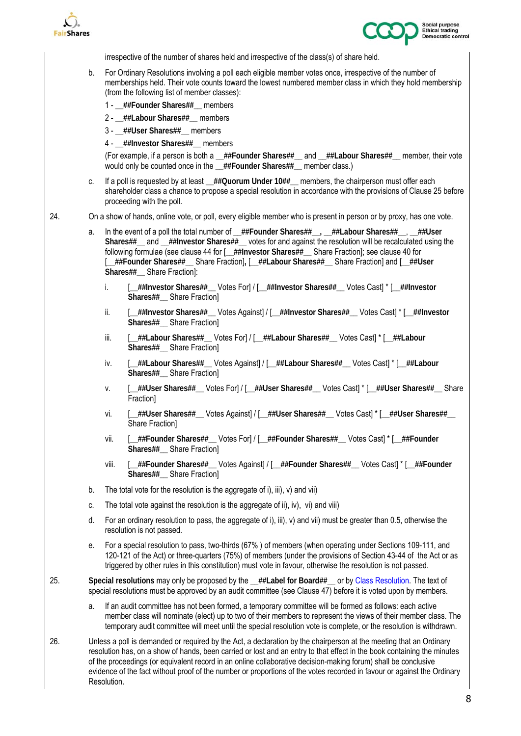



irrespective of the number of shares held and irrespective of the class(s) of share held.

- b. For Ordinary Resolutions involving a poll each eligible member votes once, irrespective of the number of memberships held. Their vote counts toward the lowest numbered member class in which they hold membership (from the following list of member classes):
	- 1 **\_\_##Founder Shares##\_\_** members
	- 2 **\_\_##Labour Shares##\_\_** members
	- 3 **\_\_##User Shares##\_\_** members
	- 4 **\_\_##Investor Shares##\_\_** members

(For example, if a person is both a **\_\_##Founder Shares##\_\_** and **\_\_##Labour Shares##\_\_** member, their vote would only be counted once in the **\_\_##Founder Shares##\_\_** member class.)

- c. If a poll is requested by at least ##Quorum Under 10## members, the chairperson must offer each shareholder class a chance to propose a special resolution in accordance with the provisions of Clause 25 before proceeding with the poll.
- 24. On a show of hands, online vote, or poll, every eligible member who is present in person or by proxy, has one vote.
	- a. In the event of a poll the total number of **\_\_##Founder Shares##\_\_, \_\_##Labour Shares##\_\_**, **\_\_##User Shares##\_\_** and **\_\_##Investor Shares##\_\_** votes for and against the resolution will be recalculated using the following formulae (see clause 44 for [**\_\_##Investor Shares##\_\_** Share Fraction]; see clause 40 for [**\_\_##Founder Shares##\_\_** Share Fraction]**,** [**\_\_##Labour Shares##\_\_** Share Fraction] and [**\_\_##User Shares##\_\_** Share Fraction]:
		- i. [**\_\_##Investor Shares##\_\_** Votes For] / [**\_\_##Investor Shares##\_\_** Votes Cast] \* [**\_\_##Investor Shares##\_\_** Share Fraction]
		- ii. [**\_\_##Investor Shares##\_\_** Votes Against] / [**\_\_##Investor Shares##\_\_** Votes Cast] \* [**\_\_##Investor Shares##\_\_** Share Fraction]
		- iii. [**\_\_##Labour Shares##\_\_** Votes For] / [**\_\_##Labour Shares##\_\_** Votes Cast] \* [**\_\_##Labour Shares##\_\_** Share Fraction]
		- iv. [**\_\_##Labour Shares##\_\_** Votes Against] / [**\_\_##Labour Shares##\_\_** Votes Cast] \* [**\_\_##Labour Shares##\_\_** Share Fraction]
		- v. [**\_\_##User Shares##\_\_** Votes For] / [**\_\_##User Shares##\_\_** Votes Cast] \* [**\_\_##User Shares##\_\_** Share **Fraction1**
		- vi. [**\_\_##User Shares##\_\_** Votes Against] / [**\_\_##User Shares##\_\_** Votes Cast] \* [**\_\_##User Shares##\_\_**  Share Fraction]
		- vii. [**\_\_##Founder Shares##\_\_** Votes For] / [**\_\_##Founder Shares##\_\_** Votes Cast] \* [**\_\_##Founder Shares##\_\_** Share Fraction]
		- viii. [**\_\_##Founder Shares##\_\_** Votes Against] / [**\_\_##Founder Shares##\_\_** Votes Cast] \* [**\_\_##Founder Shares##\_\_** Share Fraction]
	- b. The total vote for the resolution is the aggregate of i), iii),  $v$ ) and vii)
	- c. The total vote against the resolution is the aggregate of ii), iv), vi) and viii)
	- d. For an ordinary resolution to pass, the aggregate of i), iii), v) and vii) must be greater than 0.5, otherwise the resolution is not passed.
	- e. For a special resolution to pass, two-thirds (67% ) of members (when operating under Sections 109-111, and 120-121 of the Act) or three-quarters (75%) of members (under the provisions of Section 43-44 of the Act or as triggered by other rules in this constitution) must vote in favour, otherwise the resolution is not passed.
- 25. **Special resolutions** may only be proposed by the **\_\_##Label for Board##\_\_** or by Class Resolution. The text of special resolutions must be approved by an audit committee (see Clause 47) before it is voted upon by members.

a. If an audit committee has not been formed, a temporary committee will be formed as follows: each active member class will nominate (elect) up to two of their members to represent the views of their member class. The temporary audit committee will meet until the special resolution vote is complete, or the resolution is withdrawn.

26. Unless a poll is demanded or required by the Act, a declaration by the chairperson at the meeting that an Ordinary resolution has, on a show of hands, been carried or lost and an entry to that effect in the book containing the minutes of the proceedings (or equivalent record in an online collaborative decision-making forum) shall be conclusive evidence of the fact without proof of the number or proportions of the votes recorded in favour or against the Ordinary Resolution.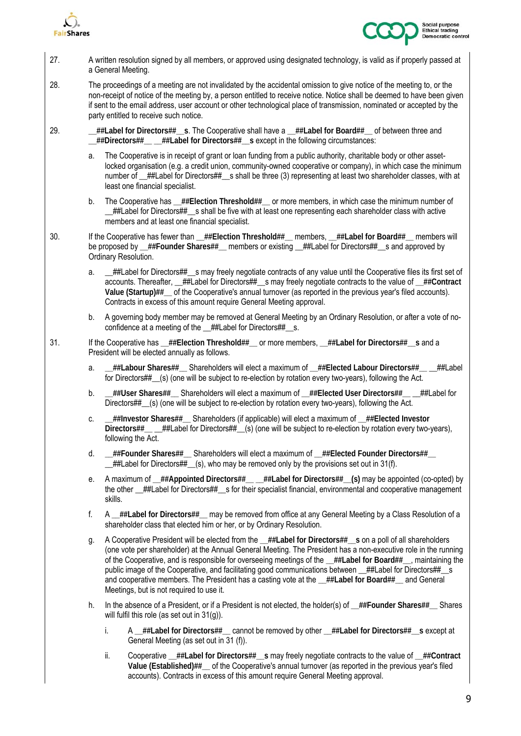



| 27. | A written resolution signed by all members, or approved using designated technology, is valid as if properly passed at<br>a General Meeting.                                                                                                                                                                                                                                                                       |                                                                                                                                                                                                                                                                                                                                                                                                                                                                                                                                                                                                            |  |  |  |
|-----|--------------------------------------------------------------------------------------------------------------------------------------------------------------------------------------------------------------------------------------------------------------------------------------------------------------------------------------------------------------------------------------------------------------------|------------------------------------------------------------------------------------------------------------------------------------------------------------------------------------------------------------------------------------------------------------------------------------------------------------------------------------------------------------------------------------------------------------------------------------------------------------------------------------------------------------------------------------------------------------------------------------------------------------|--|--|--|
| 28. | The proceedings of a meeting are not invalidated by the accidental omission to give notice of the meeting to, or the<br>non-receipt of notice of the meeting by, a person entitled to receive notice. Notice shall be deemed to have been given<br>if sent to the email address, user account or other technological place of transmission, nominated or accepted by the<br>party entitled to receive such notice. |                                                                                                                                                                                                                                                                                                                                                                                                                                                                                                                                                                                                            |  |  |  |
| 29. |                                                                                                                                                                                                                                                                                                                                                                                                                    | $\pm$ ##Label for Directors##__s. The Cooperative shall have a __##Label for Board##__ of between three and<br>_##Directors##__ _##Label for Directors##_s except in the following circumstances:                                                                                                                                                                                                                                                                                                                                                                                                          |  |  |  |
|     | a.                                                                                                                                                                                                                                                                                                                                                                                                                 | The Cooperative is in receipt of grant or loan funding from a public authority, charitable body or other asset-<br>locked organisation (e.g. a credit union, community-owned cooperative or company), in which case the minimum<br>number of _##Label for Directors##_s shall be three (3) representing at least two shareholder classes, with at<br>least one financial specialist.                                                                                                                                                                                                                       |  |  |  |
|     | b.                                                                                                                                                                                                                                                                                                                                                                                                                 | The Cooperative has __##Election Threshold##__ or more members, in which case the minimum number of<br>_##Label for Directors##__s shall be five with at least one representing each shareholder class with active<br>members and at least one financial specialist.                                                                                                                                                                                                                                                                                                                                       |  |  |  |
| 30. | If the Cooperative has fewer than _##Election Threshold##_ members, _##Label for Board##_ members will<br>be proposed by _##Founder Shares##_ members or existing _##Label for Directors##_s and approved by<br>Ordinary Resolution.                                                                                                                                                                               |                                                                                                                                                                                                                                                                                                                                                                                                                                                                                                                                                                                                            |  |  |  |
|     | a.                                                                                                                                                                                                                                                                                                                                                                                                                 | _##Label for Directors##__s may freely negotiate contracts of any value until the Cooperative files its first set of<br>accounts. Thereafter, __##Label for Directors##__s may freely negotiate contracts to the value of __##Contract<br>Value (Startup)##_ of the Cooperative's annual turnover (as reported in the previous year's filed accounts).<br>Contracts in excess of this amount require General Meeting approval.                                                                                                                                                                             |  |  |  |
|     | b.                                                                                                                                                                                                                                                                                                                                                                                                                 | A governing body member may be removed at General Meeting by an Ordinary Resolution, or after a vote of no-<br>confidence at a meeting of the _##Label for Directors##_s.                                                                                                                                                                                                                                                                                                                                                                                                                                  |  |  |  |
| 31. |                                                                                                                                                                                                                                                                                                                                                                                                                    | If the Cooperative has $\_\#$ #Election Threshold## or more members, $\_\#$ #Label for Directors## s and a<br>President will be elected annually as follows.                                                                                                                                                                                                                                                                                                                                                                                                                                               |  |  |  |
|     | a.                                                                                                                                                                                                                                                                                                                                                                                                                 | ##Labour Shares##__ Shareholders will elect a maximum of __##Elected Labour Directors##__ __##Label_<br>for Directors##_(s) (one will be subject to re-election by rotation every two-years), following the Act.                                                                                                                                                                                                                                                                                                                                                                                           |  |  |  |
|     | b.                                                                                                                                                                                                                                                                                                                                                                                                                 | the let a maximum of the User Directed User Directer ##Elected User Directors <a><br/>Directors##_(s) (one will be subject to re-election by rotation every two-years), following the Act.</a>                                                                                                                                                                                                                                                                                                                                                                                                             |  |  |  |
|     | C.                                                                                                                                                                                                                                                                                                                                                                                                                 | ##Investor Shares## Shareholders (if applicable) will elect a maximum of _##Elected Investor_<br>Directors##__ _##Label for Directors##_(s) (one will be subject to re-election by rotation every two-years),<br>following the Act.                                                                                                                                                                                                                                                                                                                                                                        |  |  |  |
|     | d.                                                                                                                                                                                                                                                                                                                                                                                                                 | __##Founder Shares##__ Shareholders will elect a maximum of __##Elected Founder Directors##__<br>$#$ #Label for Directors##_(s), who may be removed only by the provisions set out in 31(f).                                                                                                                                                                                                                                                                                                                                                                                                               |  |  |  |
|     | е.                                                                                                                                                                                                                                                                                                                                                                                                                 | A maximum of _##Appointed Directors##__ _##Label for Directors## (s) may be appointed (co-opted) by<br>the other _##Label for Directors##_s for their specialist financial, environmental and cooperative management<br>skills.                                                                                                                                                                                                                                                                                                                                                                            |  |  |  |
|     | f.                                                                                                                                                                                                                                                                                                                                                                                                                 | A _##Label for Directors##_ may be removed from office at any General Meeting by a Class Resolution of a<br>shareholder class that elected him or her, or by Ordinary Resolution.                                                                                                                                                                                                                                                                                                                                                                                                                          |  |  |  |
|     | g.                                                                                                                                                                                                                                                                                                                                                                                                                 | A Cooperative President will be elected from the _##Label for Directors##_s on a poll of all shareholders<br>(one vote per shareholder) at the Annual General Meeting. The President has a non-executive role in the running<br>of the Cooperative, and is responsible for overseeing meetings of the _##Label for Board##_, maintaining the<br>public image of the Cooperative, and facilitating good communications between _##Label for Directors##_s<br>and cooperative members. The President has a casting vote at the _##Label for Board##_ and General<br>Meetings, but is not required to use it. |  |  |  |
|     | h.                                                                                                                                                                                                                                                                                                                                                                                                                 | In the absence of a President, or if a President is not elected, the holder(s) of _##Founder Shares##_ Shares<br>will fulfil this role (as set out in $31(g)$ ).                                                                                                                                                                                                                                                                                                                                                                                                                                           |  |  |  |
|     |                                                                                                                                                                                                                                                                                                                                                                                                                    | i.<br>A _##Label for Directors##_ cannot be removed by other _##Label for Directors##_s except at<br>General Meeting (as set out in 31 (f)).                                                                                                                                                                                                                                                                                                                                                                                                                                                               |  |  |  |
|     |                                                                                                                                                                                                                                                                                                                                                                                                                    | Cooperative _##Label for Directors##__s may freely negotiate contracts to the value of _##Contract<br>ii.<br>Value (Established)##__ of the Cooperative's annual turnover (as reported in the previous year's filed<br>accounts). Contracts in excess of this amount require General Meeting approval.                                                                                                                                                                                                                                                                                                     |  |  |  |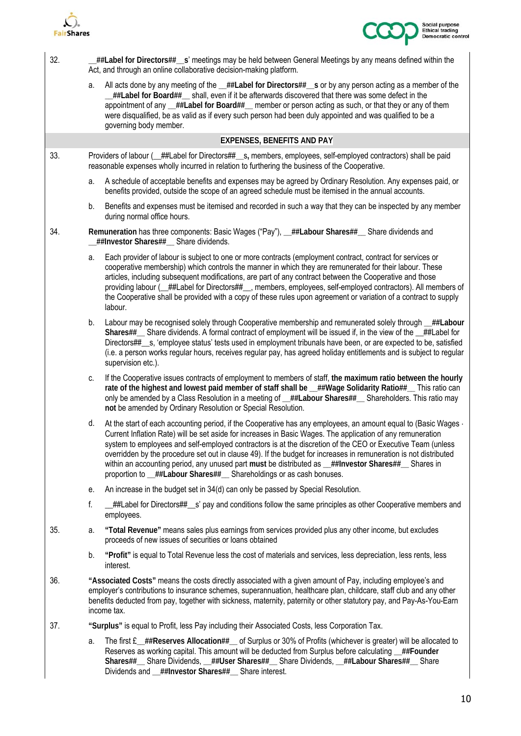



| 32. |                                                                                                                                                                                                                  | ##Label for Directors##__s' meetings may be held between General Meetings by any means defined within the<br>Act, and through an online collaborative decision-making platform.                                                                                                                                                                                                                                                                                                                                                                                                                                                                         |  |  |
|-----|------------------------------------------------------------------------------------------------------------------------------------------------------------------------------------------------------------------|---------------------------------------------------------------------------------------------------------------------------------------------------------------------------------------------------------------------------------------------------------------------------------------------------------------------------------------------------------------------------------------------------------------------------------------------------------------------------------------------------------------------------------------------------------------------------------------------------------------------------------------------------------|--|--|
|     | a.                                                                                                                                                                                                               | All acts done by any meeting of the _##Label for Directors##_s or by any person acting as a member of the<br>_##Label for Board##__ shall, even if it be afterwards discovered that there was some defect in the<br>appointment of any _##Label for Board##_ member or person acting as such, or that they or any of them<br>were disqualified, be as valid as if every such person had been duly appointed and was qualified to be a<br>governing body member.                                                                                                                                                                                         |  |  |
|     |                                                                                                                                                                                                                  | <b>EXPENSES, BENEFITS AND PAY</b>                                                                                                                                                                                                                                                                                                                                                                                                                                                                                                                                                                                                                       |  |  |
| 33. | Providers of labour (_##Label for Directors##__s, members, employees, self-employed contractors) shall be paid<br>reasonable expenses wholly incurred in relation to furthering the business of the Cooperative. |                                                                                                                                                                                                                                                                                                                                                                                                                                                                                                                                                                                                                                                         |  |  |
|     | a.                                                                                                                                                                                                               | A schedule of acceptable benefits and expenses may be agreed by Ordinary Resolution. Any expenses paid, or<br>benefits provided, outside the scope of an agreed schedule must be itemised in the annual accounts.                                                                                                                                                                                                                                                                                                                                                                                                                                       |  |  |
|     | b.                                                                                                                                                                                                               | Benefits and expenses must be itemised and recorded in such a way that they can be inspected by any member<br>during normal office hours.                                                                                                                                                                                                                                                                                                                                                                                                                                                                                                               |  |  |
| 34. |                                                                                                                                                                                                                  | Remuneration has three components: Basic Wages ("Pay"), _##Labour Shares##_ Share dividends and<br>_##Investor Shares##_ Share dividends.                                                                                                                                                                                                                                                                                                                                                                                                                                                                                                               |  |  |
|     | a.<br>labour.                                                                                                                                                                                                    | Each provider of labour is subject to one or more contracts (employment contract, contract for services or<br>cooperative membership) which controls the manner in which they are remunerated for their labour. These<br>articles, including subsequent modifications, are part of any contract between the Cooperative and those<br>providing labour (_##Label for Directors##__, members, employees, self-employed contractors). All members of<br>the Cooperative shall be provided with a copy of these rules upon agreement or variation of a contract to supply                                                                                   |  |  |
|     | b.                                                                                                                                                                                                               | Labour may be recognised solely through Cooperative membership and remunerated solely through _##Labour<br>Shares##__ Share dividends. A formal contract of employment will be issued if, in the view of the _##Label for<br>Directors##_s, 'employee status' tests used in employment tribunals have been, or are expected to be, satisfied<br>(i.e. a person works regular hours, receives regular pay, has agreed holiday entitlements and is subject to regular<br>supervision etc.).                                                                                                                                                               |  |  |
|     | C.                                                                                                                                                                                                               | If the Cooperative issues contracts of employment to members of staff, the maximum ratio between the hourly<br>rate of the highest and lowest paid member of staff shall be _##Wage Solidarity Ratio##_ This ratio can<br>only be amended by a Class Resolution in a meeting of _##Labour Shares##_ Shareholders. This ratio may<br>not be amended by Ordinary Resolution or Special Resolution.                                                                                                                                                                                                                                                        |  |  |
|     | d.                                                                                                                                                                                                               | At the start of each accounting period, if the Cooperative has any employees, an amount equal to (Basic Wages $\cdot$<br>Current Inflation Rate) will be set aside for increases in Basic Wages. The application of any remuneration<br>system to employees and self-employed contractors is at the discretion of the CEO or Executive Team (unless<br>overridden by the procedure set out in clause 49). If the budget for increases in remuneration is not distributed<br>within an accounting period, any unused part must be distributed as _##Investor Shares##__ Shares in<br>proportion to _##Labour Shares##_ Shareholdings or as cash bonuses. |  |  |
|     | е.                                                                                                                                                                                                               | An increase in the budget set in 34(d) can only be passed by Special Resolution.                                                                                                                                                                                                                                                                                                                                                                                                                                                                                                                                                                        |  |  |
|     | f.                                                                                                                                                                                                               | ##Label for Directors##__s' pay and conditions follow the same principles as other Cooperative members and<br>employees.                                                                                                                                                                                                                                                                                                                                                                                                                                                                                                                                |  |  |
| 35. | а.                                                                                                                                                                                                               | "Total Revenue" means sales plus earnings from services provided plus any other income, but excludes<br>proceeds of new issues of securities or loans obtained                                                                                                                                                                                                                                                                                                                                                                                                                                                                                          |  |  |
|     | b.<br>interest.                                                                                                                                                                                                  | "Profit" is equal to Total Revenue less the cost of materials and services, less depreciation, less rents, less                                                                                                                                                                                                                                                                                                                                                                                                                                                                                                                                         |  |  |
| 36. |                                                                                                                                                                                                                  | "Associated Costs" means the costs directly associated with a given amount of Pay, including employee's and<br>employer's contributions to insurance schemes, superannuation, healthcare plan, childcare, staff club and any other<br>benefits deducted from pay, together with sickness, maternity, paternity or other statutory pay, and Pay-As-You-Earn<br>income tax.                                                                                                                                                                                                                                                                               |  |  |
| 37. |                                                                                                                                                                                                                  | "Surplus" is equal to Profit, less Pay including their Associated Costs, less Corporation Tax.                                                                                                                                                                                                                                                                                                                                                                                                                                                                                                                                                          |  |  |
|     | a.                                                                                                                                                                                                               | The first $E$ ##Reserves Allocation## of Surplus or 30% of Profits (whichever is greater) will be allocated to<br>Reserves as working capital. This amount will be deducted from Surplus before calculating _##Founder<br>Shares##__ Share Dividends, __##User Shares##__ Share Dividends, __##Labour Shares##__ Share<br>Dividends and _##Investor Shares##_ Share interest.                                                                                                                                                                                                                                                                           |  |  |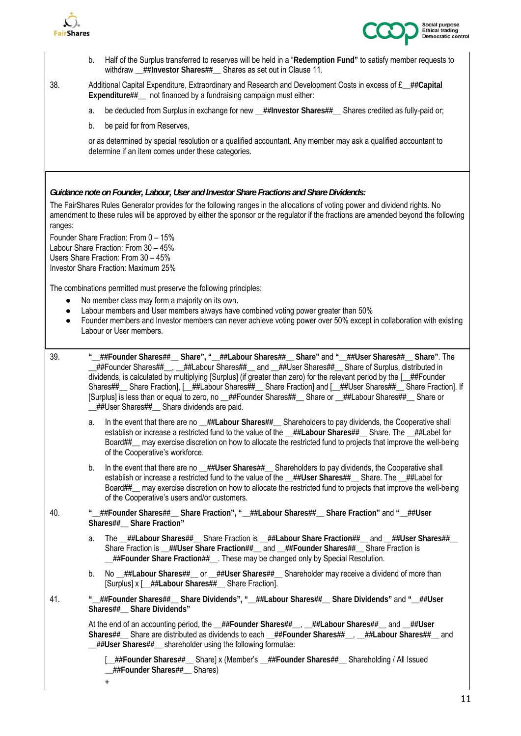



- b. Half of the Surplus transferred to reserves will be held in a "**Redemption Fund"** to satisfy member requests to withdraw ##Investor Shares## Shares as set out in Clause 11.
- 38. Additional Capital Expenditure, Extraordinary and Research and Development Costs in excess of £**\_\_##Capital**  Expenditure## not financed by a fundraising campaign must either:
	- a. be deducted from Surplus in exchange for new \_\_##Investor Shares##\_\_ Shares credited as fully-paid or;
	- b. be paid for from Reserves,

or as determined by special resolution or a qualified accountant. Any member may ask a qualified accountant to determine if an item comes under these categories.

*Guidance note on Founder, Labour, User and Investor Share Fractions and Share Dividends:* 

The FairShares Rules Generator provides for the following ranges in the allocations of voting power and dividend rights. No amendment to these rules will be approved by either the sponsor or the regulator if the fractions are amended beyond the following ranges:

Founder Share Fraction: From 0 – 15% Labour Share Fraction: From 30 – 45% Users Share Fraction: From 30 – 45% Investor Share Fraction: Maximum 25%

The combinations permitted must preserve the following principles:

- No member class may form a majority on its own.
- Labour members and User members always have combined voting power greater than 50%
- Founder members and Investor members can never achieve voting power over 50% except in collaboration with existing Labour or User members.
- 39. **"\_\_##Founder Shares##\_\_ Share", "\_\_##Labour Shares##\_\_ Share"** and **"\_\_##User Shares##\_\_ Share"**. The \_\_##Founder Shares##\_\_, \_\_##Labour Shares##\_\_ and \_\_##User Shares##\_\_ Share of Surplus, distributed in dividends, is calculated by multiplying [Surplus] (if greater than zero) for the relevant period by the [\_\_##Founder Shares##\_\_ Share Fraction], [\_\_##Labour Shares##\_\_ Share Fraction] and [\_\_##User Shares##\_\_ Share Fraction]. If [Surplus] is less than or equal to zero, no ##Founder Shares## Share or ##Labour Shares## Share or ##User Shares## Share dividends are paid.
	- a. In the event that there are no **\_\_##Labour Shares##\_\_** Shareholders to pay dividends, the Cooperative shall establish or increase a restricted fund to the value of the **\_\_##Labour Shares##\_\_** Share. The \_\_##Label for Board##\_\_ may exercise discretion on how to allocate the restricted fund to projects that improve the well-being of the Cooperative's workforce.
	- b. In the event that there are no **\_\_##User Shares##\_\_** Shareholders to pay dividends, the Cooperative shall establish or increase a restricted fund to the value of the **\_\_##User Shares##\_\_** Share. The \_\_##Label for Board##\_\_ may exercise discretion on how to allocate the restricted fund to projects that improve the well-being of the Cooperative's users and/or customers.
- 40. **"\_\_##Founder Shares##\_\_ Share Fraction", "\_\_##Labour Shares##\_\_ Share Fraction"** and **"\_\_##User Shares##\_\_ Share Fraction"**
	- a. The **\_\_##Labour Shares##\_\_** Share Fraction is **\_\_##Labour Share Fraction##\_\_** and **\_\_##User Shares##\_\_**  Share Fraction is **\_\_##User Share Fraction##\_\_** and **\_\_##Founder Shares##\_\_** Share Fraction is **\_\_##Founder Share Fraction##\_\_**. These may be changed only by Special Resolution.
	- b. No ##Labour Shares## or ##User Shares## Shareholder may receive a dividend of more than [Surplus] x [**\_\_##Labour Shares##\_\_** Share Fraction].
- 41. **"\_\_##Founder Shares##\_\_ Share Dividends", "\_\_##Labour Shares##\_\_ Share Dividends"** and **"\_\_##User Shares##\_\_ Share Dividends"**

At the end of an accounting period, the **\_\_##Founder Shares##\_\_**, **\_\_##Labour Shares##\_\_** and **\_\_##User Shares##\_\_** Share are distributed as dividends to each **\_\_##Founder Shares##\_\_**, **\_\_##Labour Shares##\_\_** and **\_\_##User Shares##\_\_** shareholder using the following formulae:

 [**\_\_##Founder Shares##\_\_** Share] x (Member's **\_\_##Founder Shares##\_\_** Shareholding / All Issued **\_\_##Founder Shares##\_\_** Shares)

+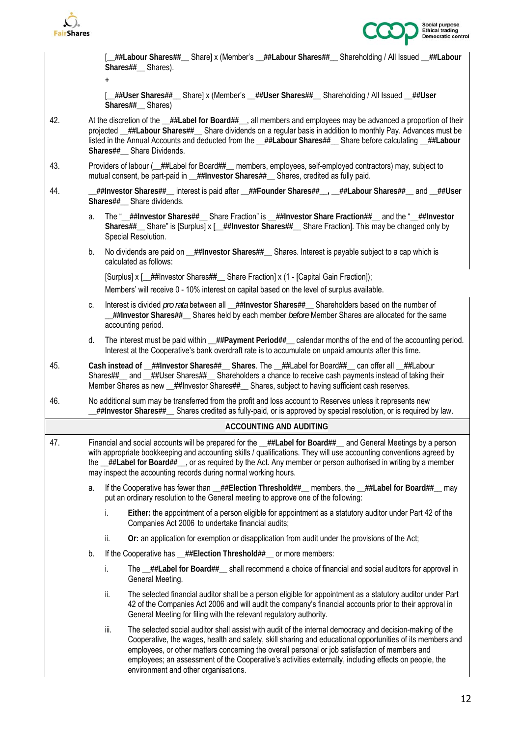

+



[**\_\_##Labour Shares##\_\_** Share] x (Member's **\_\_##Labour Shares##\_\_** Shareholding / All Issued **\_\_##Labour Shares##\_\_** Shares).

 [**\_\_##User Shares##\_\_** Share] x (Member's **\_\_##User Shares##\_\_** Shareholding / All Issued **\_\_##User Shares##\_\_** Shares)

- 42. At the discretion of the **\_\_##Label for Board##\_\_**, all members and employees may be advanced a proportion of their projected **\_\_##Labour Shares##\_\_** Share dividends on a regular basis in addition to monthly Pay. Advances must be listed in the Annual Accounts and deducted from the **\_\_##Labour Shares##\_\_** Share before calculating **\_\_##Labour Shares##\_\_** Share Dividends.
- 43. Providers of labour ( $\_\text{#}\$ Label for Board## $\_\text{ }$  members, employees, self-employed contractors) may, subject to mutual consent, be part-paid in ##Investor Shares## Shares, credited as fully paid.
- 44. **\_\_##Investor Shares##\_\_** interest is paid after **\_\_##Founder Shares##\_\_, \_\_##Labour Shares##\_\_** and **\_\_##User Shares##\_\_** Share dividends.
	- a. The "**\_\_##Investor Shares##\_\_** Share Fraction" is **\_\_##Investor Share Fraction##\_\_** and the "**\_\_##Investor Shares##\_\_** Share" is [Surplus] x [**\_\_##Investor Shares##\_\_** Share Fraction]. This may be changed only by Special Resolution.
	- b. No dividends are paid on **\_\_##Investor Shares##\_\_** Shares. Interest is payable subject to a cap which is calculated as follows:

[Surplus] x [\_\_##Investor Shares##\_\_ Share Fraction] x (1 - [Capital Gain Fraction]);

Members' will receive 0 - 10% interest on capital based on the level of surplus available.

- c. Interest is divided *pro rata* between all **\_\_##Investor Shares##\_\_** Shareholders based on the number of **\_\_##Investor Shares##\_\_** Shares held by each member *before* Member Shares are allocated for the same accounting period.
- d. The interest must be paid within **\_\_##Payment Period##\_\_** calendar months of the end of the accounting period. Interest at the Cooperative's bank overdraft rate is to accumulate on unpaid amounts after this time.
- 45. **Cash instead of \_\_##Investor Shares##\_\_ Shares**. The \_\_##Label for Board##\_\_ can offer all \_\_##Labour Shares##\_\_ and \_\_##User Shares##\_\_ Shareholders a chance to receive cash payments instead of taking their Member Shares as new ##Investor Shares## Shares, subject to having sufficient cash reserves.
- 46. No additional sum may be transferred from the profit and loss account to Reserves unless it represents new **\_\_##Investor Shares##\_\_** Shares credited as fully-paid, or is approved by special resolution, or is required by law.

#### **ACCOUNTING AND AUDITING**

- 47. Financial and social accounts will be prepared for the **\_\_##Label for Board##\_\_** and General Meetings by a person with appropriate bookkeeping and accounting skills / qualifications. They will use accounting conventions agreed by the **\_\_##Label for Board##\_\_**, or as required by the Act. Any member or person authorised in writing by a member may inspect the accounting records during normal working hours.
	- a. If the Cooperative has fewer than ##Election Threshold## members, the ##Label for Board## may put an ordinary resolution to the General meeting to approve one of the following:
		- i. **Either:** the appointment of a person eligible for appointment as a statutory auditor under Part 42 of the Companies Act 2006 to undertake financial audits;
		- ii. **Or:** an application for exemption or disapplication from audit under the provisions of the Act;
	- b. If the Cooperative has **\_\_##Election Threshold##\_\_** or more members:
		- i. The ##Label for Board## shall recommend a choice of financial and social auditors for approval in General Meeting.
		- ii. The selected financial auditor shall be a person eligible for appointment as a statutory auditor under Part 42 of the Companies Act 2006 and will audit the company's financial accounts prior to their approval in General Meeting for filing with the relevant regulatory authority.
		- iii. The selected social auditor shall assist with audit of the internal democracy and decision-making of the Cooperative, the wages, health and safety, skill sharing and educational opportunities of its members and employees, or other matters concerning the overall personal or job satisfaction of members and employees; an assessment of the Cooperative's activities externally, including effects on people, the environment and other organisations.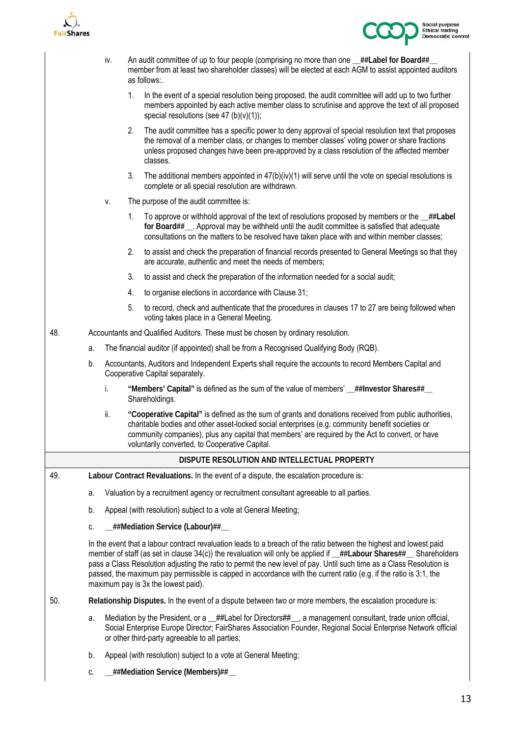



|     |                                                                                                                                                                                                                                                                                                                                                                                                                                                                                                                             | iv.                                                                                   | An audit committee of up to four people (comprising no more than one _##Label for Board##_<br>member from at least two shareholder classes) will be elected at each AGM to assist appointed auditors<br>as follows:. |                                                                                                                                                                                                                                                                                                                                                                 |  |  |
|-----|-----------------------------------------------------------------------------------------------------------------------------------------------------------------------------------------------------------------------------------------------------------------------------------------------------------------------------------------------------------------------------------------------------------------------------------------------------------------------------------------------------------------------------|---------------------------------------------------------------------------------------|----------------------------------------------------------------------------------------------------------------------------------------------------------------------------------------------------------------------|-----------------------------------------------------------------------------------------------------------------------------------------------------------------------------------------------------------------------------------------------------------------------------------------------------------------------------------------------------------------|--|--|
|     |                                                                                                                                                                                                                                                                                                                                                                                                                                                                                                                             |                                                                                       | 1.                                                                                                                                                                                                                   | In the event of a special resolution being proposed, the audit committee will add up to two further<br>members appointed by each active member class to scrutinise and approve the text of all proposed<br>special resolutions (see 47 (b)(v)(1));                                                                                                              |  |  |
|     |                                                                                                                                                                                                                                                                                                                                                                                                                                                                                                                             |                                                                                       | 2.                                                                                                                                                                                                                   | The audit committee has a specific power to deny approval of special resolution text that proposes<br>the removal of a member class, or changes to member classes' voting power or share fractions<br>unless proposed changes have been pre-approved by a class resolution of the affected member<br>classes.                                                   |  |  |
|     |                                                                                                                                                                                                                                                                                                                                                                                                                                                                                                                             |                                                                                       | 3.                                                                                                                                                                                                                   | The additional members appointed in $47(b)(iv)(1)$ will serve until the vote on special resolutions is<br>complete or all special resolution are withdrawn.                                                                                                                                                                                                     |  |  |
|     |                                                                                                                                                                                                                                                                                                                                                                                                                                                                                                                             | ٧.                                                                                    |                                                                                                                                                                                                                      | The purpose of the audit committee is:                                                                                                                                                                                                                                                                                                                          |  |  |
|     |                                                                                                                                                                                                                                                                                                                                                                                                                                                                                                                             |                                                                                       | 1.                                                                                                                                                                                                                   | To approve or withhold approval of the text of resolutions proposed by members or the _##Label<br>for Board##__. Approval may be withheld until the audit committee is satisfied that adequate<br>consultations on the matters to be resolved have taken place with and within member classes;                                                                  |  |  |
|     |                                                                                                                                                                                                                                                                                                                                                                                                                                                                                                                             |                                                                                       | 2.                                                                                                                                                                                                                   | to assist and check the preparation of financial records presented to General Meetings so that they<br>are accurate, authentic and meet the needs of members;                                                                                                                                                                                                   |  |  |
|     |                                                                                                                                                                                                                                                                                                                                                                                                                                                                                                                             |                                                                                       | 3.                                                                                                                                                                                                                   | to assist and check the preparation of the information needed for a social audit;                                                                                                                                                                                                                                                                               |  |  |
|     |                                                                                                                                                                                                                                                                                                                                                                                                                                                                                                                             |                                                                                       | 4.                                                                                                                                                                                                                   | to organise elections in accordance with Clause 31;                                                                                                                                                                                                                                                                                                             |  |  |
|     |                                                                                                                                                                                                                                                                                                                                                                                                                                                                                                                             |                                                                                       | 5.                                                                                                                                                                                                                   | to record, check and authenticate that the procedures in clauses 17 to 27 are being followed when<br>voting takes place in a General Meeting.                                                                                                                                                                                                                   |  |  |
| 48. |                                                                                                                                                                                                                                                                                                                                                                                                                                                                                                                             | Accountants and Qualified Auditors. These must be chosen by ordinary resolution.      |                                                                                                                                                                                                                      |                                                                                                                                                                                                                                                                                                                                                                 |  |  |
|     | a.                                                                                                                                                                                                                                                                                                                                                                                                                                                                                                                          |                                                                                       |                                                                                                                                                                                                                      | The financial auditor (if appointed) shall be from a Recognised Qualifying Body (RQB).                                                                                                                                                                                                                                                                          |  |  |
|     | b.                                                                                                                                                                                                                                                                                                                                                                                                                                                                                                                          |                                                                                       |                                                                                                                                                                                                                      | Accountants, Auditors and Independent Experts shall require the accounts to record Members Capital and<br>Cooperative Capital separately.                                                                                                                                                                                                                       |  |  |
|     |                                                                                                                                                                                                                                                                                                                                                                                                                                                                                                                             | i.                                                                                    |                                                                                                                                                                                                                      | "Members' Capital" is defined as the sum of the value of members' _##Investor Shares##_<br>Shareholdings.                                                                                                                                                                                                                                                       |  |  |
|     |                                                                                                                                                                                                                                                                                                                                                                                                                                                                                                                             | ii.                                                                                   |                                                                                                                                                                                                                      | "Cooperative Capital" is defined as the sum of grants and donations received from public authorities,<br>charitable bodies and other asset-locked social enterprises (e.g. community benefit societies or<br>community companies), plus any capital that members' are required by the Act to convert, or have<br>voluntarily converted, to Cooperative Capital. |  |  |
|     |                                                                                                                                                                                                                                                                                                                                                                                                                                                                                                                             |                                                                                       |                                                                                                                                                                                                                      | DISPUTE RESOLUTION AND INTELLECTUAL PROPERTY                                                                                                                                                                                                                                                                                                                    |  |  |
| 49. |                                                                                                                                                                                                                                                                                                                                                                                                                                                                                                                             |                                                                                       |                                                                                                                                                                                                                      | Labour Contract Revaluations. In the event of a dispute, the escalation procedure is:                                                                                                                                                                                                                                                                           |  |  |
|     | a.                                                                                                                                                                                                                                                                                                                                                                                                                                                                                                                          | Valuation by a recruitment agency or recruitment consultant agreeable to all parties. |                                                                                                                                                                                                                      |                                                                                                                                                                                                                                                                                                                                                                 |  |  |
|     | b.                                                                                                                                                                                                                                                                                                                                                                                                                                                                                                                          |                                                                                       |                                                                                                                                                                                                                      | Appeal (with resolution) subject to a vote at General Meeting;                                                                                                                                                                                                                                                                                                  |  |  |
|     | C.                                                                                                                                                                                                                                                                                                                                                                                                                                                                                                                          |                                                                                       |                                                                                                                                                                                                                      | _##Mediation Service (Labour)##_                                                                                                                                                                                                                                                                                                                                |  |  |
|     | In the event that a labour contract revaluation leads to a breach of the ratio between the highest and lowest paid<br>member of staff (as set in clause 34(c)) the revaluation will only be applied if _##Labour Shares##_ Shareholders<br>pass a Class Resolution adjusting the ratio to permit the new level of pay. Until such time as a Class Resolution is<br>passed, the maximum pay permissible is capped in accordance with the current ratio (e.g. if the ratio is 3:1, the<br>maximum pay is 3x the lowest paid). |                                                                                       |                                                                                                                                                                                                                      |                                                                                                                                                                                                                                                                                                                                                                 |  |  |
| 50. |                                                                                                                                                                                                                                                                                                                                                                                                                                                                                                                             |                                                                                       |                                                                                                                                                                                                                      | Relationship Disputes. In the event of a dispute between two or more members, the escalation procedure is:                                                                                                                                                                                                                                                      |  |  |
|     | а.                                                                                                                                                                                                                                                                                                                                                                                                                                                                                                                          |                                                                                       |                                                                                                                                                                                                                      | Mediation by the President, or a _##Label for Directors##_, a management consultant, trade union official,<br>Social Enterprise Europe Director; FairShares Association Founder, Regional Social Enterprise Network official<br>or other third-party agreeable to all parties;                                                                                  |  |  |
|     | b.                                                                                                                                                                                                                                                                                                                                                                                                                                                                                                                          |                                                                                       |                                                                                                                                                                                                                      | Appeal (with resolution) subject to a vote at General Meeting;                                                                                                                                                                                                                                                                                                  |  |  |

c. **\_\_##Mediation Service (Members)##\_\_**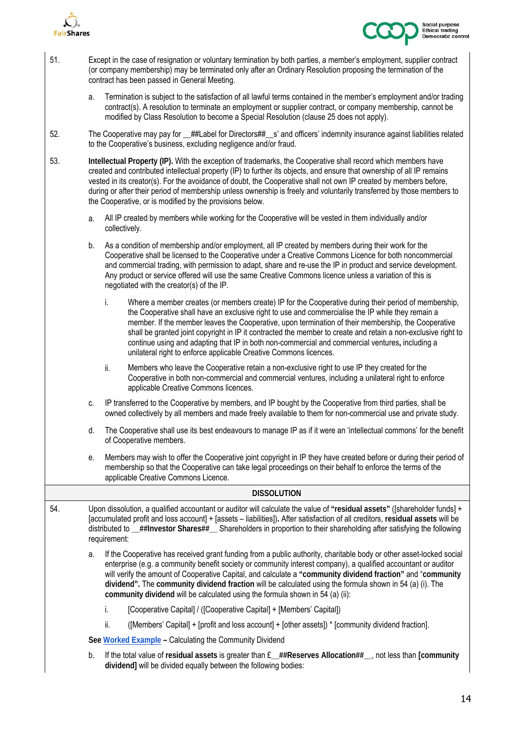



| 51. | Except in the case of resignation or voluntary termination by both parties, a member's employment, supplier contract<br>(or company membership) may be terminated only after an Ordinary Resolution proposing the termination of the<br>contract has been passed in General Meeting.                                                                                                                                                                                                                                                                                                                            |  |  |  |  |
|-----|-----------------------------------------------------------------------------------------------------------------------------------------------------------------------------------------------------------------------------------------------------------------------------------------------------------------------------------------------------------------------------------------------------------------------------------------------------------------------------------------------------------------------------------------------------------------------------------------------------------------|--|--|--|--|
|     | Termination is subject to the satisfaction of all lawful terms contained in the member's employment and/or trading<br>a.<br>contract(s). A resolution to terminate an employment or supplier contract, or company membership, cannot be<br>modified by Class Resolution to become a Special Resolution (clause 25 does not apply).                                                                                                                                                                                                                                                                              |  |  |  |  |
| 52. | The Cooperative may pay for _##Label for Directors##_s' and officers' indemnity insurance against liabilities related<br>to the Cooperative's business, excluding negligence and/or fraud.                                                                                                                                                                                                                                                                                                                                                                                                                      |  |  |  |  |
| 53. | Intellectual Property (IP). With the exception of trademarks, the Cooperative shall record which members have<br>created and contributed intellectual property (IP) to further its objects, and ensure that ownership of all IP remains<br>vested in its creator(s). For the avoidance of doubt, the Cooperative shall not own IP created by members before,<br>during or after their period of membership unless ownership is freely and voluntarily transferred by those members to<br>the Cooperative, or is modified by the provisions below.                                                               |  |  |  |  |
|     | All IP created by members while working for the Cooperative will be vested in them individually and/or<br>a.<br>collectively.                                                                                                                                                                                                                                                                                                                                                                                                                                                                                   |  |  |  |  |
|     | As a condition of membership and/or employment, all IP created by members during their work for the<br>b.<br>Cooperative shall be licensed to the Cooperative under a Creative Commons Licence for both noncommercial<br>and commercial trading, with permission to adapt, share and re-use the IP in product and service development.<br>Any product or service offered will use the same Creative Commons licence unless a variation of this is<br>negotiated with the creator(s) of the IP.                                                                                                                  |  |  |  |  |
|     | Where a member creates (or members create) IP for the Cooperative during their period of membership,<br>i.<br>the Cooperative shall have an exclusive right to use and commercialise the IP while they remain a<br>member. If the member leaves the Cooperative, upon termination of their membership, the Cooperative<br>shall be granted joint copyright in IP it contracted the member to create and retain a non-exclusive right to<br>continue using and adapting that IP in both non-commercial and commercial ventures, including a<br>unilateral right to enforce applicable Creative Commons licences. |  |  |  |  |
|     | ii.<br>Members who leave the Cooperative retain a non-exclusive right to use IP they created for the<br>Cooperative in both non-commercial and commercial ventures, including a unilateral right to enforce<br>applicable Creative Commons licences.                                                                                                                                                                                                                                                                                                                                                            |  |  |  |  |
|     | IP transferred to the Cooperative by members, and IP bought by the Cooperative from third parties, shall be<br>C.<br>owned collectively by all members and made freely available to them for non-commercial use and private study.                                                                                                                                                                                                                                                                                                                                                                              |  |  |  |  |
|     | The Cooperative shall use its best endeavours to manage IP as if it were an 'intellectual commons' for the benefit<br>d.<br>of Cooperative members.                                                                                                                                                                                                                                                                                                                                                                                                                                                             |  |  |  |  |
|     | Members may wish to offer the Cooperative joint copyright in IP they have created before or during their period of<br>е.<br>membership so that the Cooperative can take legal proceedings on their behalf to enforce the terms of the<br>applicable Creative Commons Licence.                                                                                                                                                                                                                                                                                                                                   |  |  |  |  |
|     | <b>DISSOLUTION</b>                                                                                                                                                                                                                                                                                                                                                                                                                                                                                                                                                                                              |  |  |  |  |
| 54. | Upon dissolution, a qualified accountant or auditor will calculate the value of "residual assets" ([shareholder funds] +<br>[accumulated profit and loss account] + [assets - liabilities]). After satisfaction of all creditors, residual assets will be<br>distributed to _##Investor Shares##_ Shareholders in proportion to their shareholding after satisfying the following<br>requirement:                                                                                                                                                                                                               |  |  |  |  |
|     | If the Cooperative has received grant funding from a public authority, charitable body or other asset-locked social<br>a.<br>enterprise (e.g. a community benefit society or community interest company), a qualified accountant or auditor<br>will verify the amount of Cooperative Capital, and calculate a "community dividend fraction" and "community<br>dividend". The community dividend fraction will be calculated using the formula shown in 54 (a) (i). The<br>community dividend will be calculated using the formula shown in 54 (a) (ii):                                                         |  |  |  |  |
|     | [Cooperative Capital] / ([Cooperative Capital] + [Members' Capital])<br>İ.                                                                                                                                                                                                                                                                                                                                                                                                                                                                                                                                      |  |  |  |  |
|     | ii.<br>([Members' Capital] + [profit and loss account] + [other assets]) * [community dividend fraction].                                                                                                                                                                                                                                                                                                                                                                                                                                                                                                       |  |  |  |  |
|     | See Worked Example - Calculating the Community Dividend                                                                                                                                                                                                                                                                                                                                                                                                                                                                                                                                                         |  |  |  |  |
|     | b.<br>If the total value of residual assets is greater than £_##Reserves Allocation##_, not less than [community<br>dividend] will be divided equally between the following bodies:                                                                                                                                                                                                                                                                                                                                                                                                                             |  |  |  |  |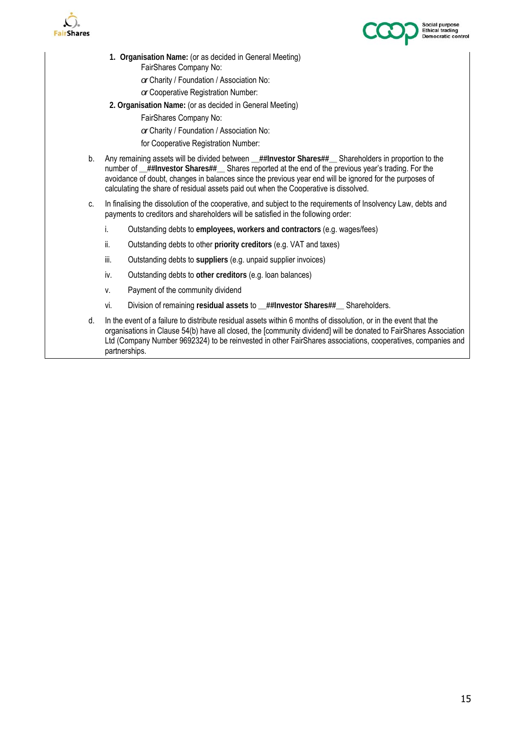



- **1. Organisation Name:** (or as decided in General Meeting) FairShares Company No:
	- *or* Charity / Foundation / Association No:
	- *or* Cooperative Registration Number:
- **2. Organisation Name:** (or as decided in General Meeting)
	- FairShares Company No:
		- *or* Charity / Foundation / Association No:
	- for Cooperative Registration Number:
- b. Any remaining assets will be divided between **\_\_##Investor Shares##\_\_** Shareholders in proportion to the number of **\_\_##Investor Shares##\_\_** Shares reported at the end of the previous year's trading. For the avoidance of doubt, changes in balances since the previous year end will be ignored for the purposes of calculating the share of residual assets paid out when the Cooperative is dissolved.
- c. In finalising the dissolution of the cooperative, and subject to the requirements of Insolvency Law, debts and payments to creditors and shareholders will be satisfied in the following order:
	- i. Outstanding debts to **employees, workers and contractors** (e.g. wages/fees)
	- ii. Outstanding debts to other **priority creditors** (e.g. VAT and taxes)
	- iii. Outstanding debts to **suppliers** (e.g. unpaid supplier invoices)
	- iv. Outstanding debts to **other creditors** (e.g. loan balances)
	- v. Payment of the community dividend
	- vi. Division of remaining **residual assets** to **\_\_##Investor Shares##\_\_** Shareholders.
- d. In the event of a failure to distribute residual assets within 6 months of dissolution, or in the event that the organisations in Clause 54(b) have all closed, the [community dividend] will be donated to FairShares Association Ltd (Company Number 9692324) to be reinvested in other FairShares associations, cooperatives, companies and partnerships.